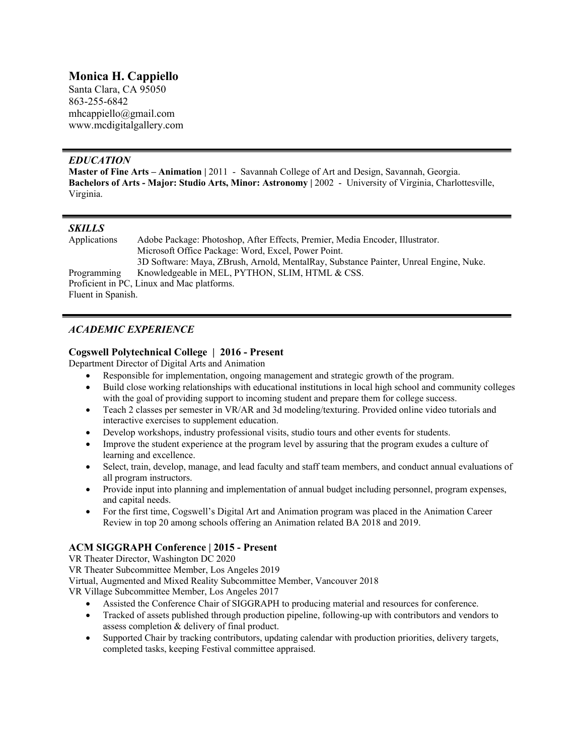# **Monica H. Cappiello**

Santa Clara, CA 95050 863-255-6842 mhcappiello@gmail.com www.mcdigitalgallery.com

## *EDUCATION*

Master of Fine Arts - Animation | 2011 - Savannah College of Art and Design, Savannah, Georgia. **Bachelors of Arts - Major: Studio Arts, Minor: Astronomy |** 2002 - University of Virginia, Charlottesville, Virginia.

## *SKILLS*

| Applications                               | Adobe Package: Photoshop, After Effects, Premier, Media Encoder, Illustrator.         |
|--------------------------------------------|---------------------------------------------------------------------------------------|
|                                            | Microsoft Office Package: Word, Excel, Power Point.                                   |
|                                            | 3D Software: Maya, ZBrush, Arnold, MentalRay, Substance Painter, Unreal Engine, Nuke. |
| Programming                                | Knowledgeable in MEL, PYTHON, SLIM, HTML & CSS.                                       |
| Proficient in PC, Linux and Mac platforms. |                                                                                       |
| Fluent in Spanish.                         |                                                                                       |

## *ACADEMIC EXPERIENCE*

## **Cogswell Polytechnical College | 2016 - Present**

Department Director of Digital Arts and Animation

- Responsible for implementation, ongoing management and strategic growth of the program.
- Build close working relationships with educational institutions in local high school and community colleges with the goal of providing support to incoming student and prepare them for college success.
- Teach 2 classes per semester in VR/AR and 3d modeling/texturing. Provided online video tutorials and interactive exercises to supplement education.
- Develop workshops, industry professional visits, studio tours and other events for students.
- Improve the student experience at the program level by assuring that the program exudes a culture of learning and excellence.
- Select, train, develop, manage, and lead faculty and staff team members, and conduct annual evaluations of all program instructors.
- Provide input into planning and implementation of annual budget including personnel, program expenses, and capital needs.
- For the first time, Cogswell's Digital Art and Animation program was placed in the Animation Career Review in top 20 among schools offering an Animation related BA 2018 and 2019.

## **ACM SIGGRAPH Conference | 2015 - Present**

VR Theater Director, Washington DC 2020

VR Theater Subcommittee Member, Los Angeles 2019

Virtual, Augmented and Mixed Reality Subcommittee Member, Vancouver 2018

VR Village Subcommittee Member, Los Angeles 2017

- Assisted the Conference Chair of SIGGRAPH to producing material and resources for conference.
- Tracked of assets published through production pipeline, following-up with contributors and vendors to assess completion & delivery of final product.
- Supported Chair by tracking contributors, updating calendar with production priorities, delivery targets, completed tasks, keeping Festival committee appraised.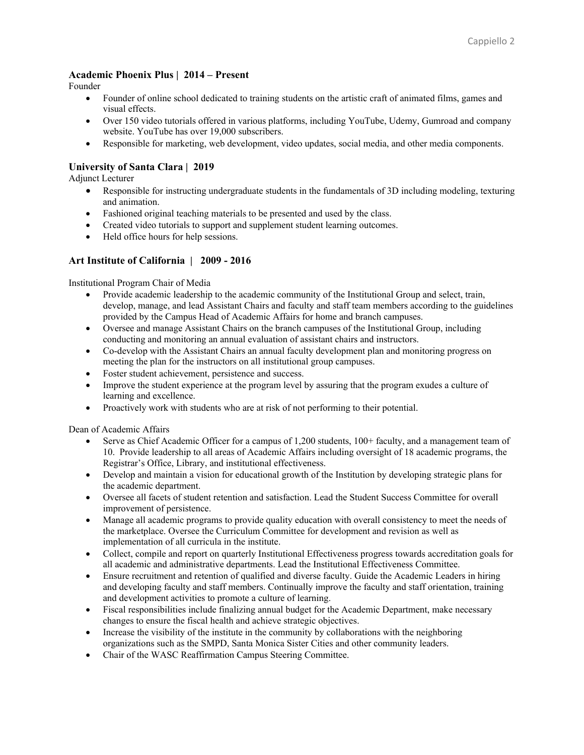#### **Academic Phoenix Plus | 2014 – Present**

Founder

- Founder of online school dedicated to training students on the artistic craft of animated films, games and visual effects.
- Over 150 video tutorials offered in various platforms, including YouTube, Udemy, Gumroad and company website. YouTube has over 19,000 subscribers.
- Responsible for marketing, web development, video updates, social media, and other media components.

## **University of Santa Clara | 2019**

Adjunct Lecturer

- Responsible for instructing undergraduate students in the fundamentals of 3D including modeling, texturing and animation.
- Fashioned original teaching materials to be presented and used by the class.
- Created video tutorials to support and supplement student learning outcomes.
- Held office hours for help sessions.

### **Art Institute of California | 2009 - 2016**

Institutional Program Chair of Media

- Provide academic leadership to the academic community of the Institutional Group and select, train, develop, manage, and lead Assistant Chairs and faculty and staff team members according to the guidelines provided by the Campus Head of Academic Affairs for home and branch campuses.
- Oversee and manage Assistant Chairs on the branch campuses of the Institutional Group, including conducting and monitoring an annual evaluation of assistant chairs and instructors.
- Co-develop with the Assistant Chairs an annual faculty development plan and monitoring progress on meeting the plan for the instructors on all institutional group campuses.
- Foster student achievement, persistence and success.
- Improve the student experience at the program level by assuring that the program exudes a culture of learning and excellence.
- Proactively work with students who are at risk of not performing to their potential.

Dean of Academic Affairs

- Serve as Chief Academic Officer for a campus of 1,200 students, 100+ faculty, and a management team of 10. Provide leadership to all areas of Academic Affairs including oversight of 18 academic programs, the Registrar's Office, Library, and institutional effectiveness.
- Develop and maintain a vision for educational growth of the Institution by developing strategic plans for the academic department.
- Oversee all facets of student retention and satisfaction. Lead the Student Success Committee for overall improvement of persistence.
- Manage all academic programs to provide quality education with overall consistency to meet the needs of the marketplace. Oversee the Curriculum Committee for development and revision as well as implementation of all curricula in the institute.
- Collect, compile and report on quarterly Institutional Effectiveness progress towards accreditation goals for all academic and administrative departments. Lead the Institutional Effectiveness Committee.
- Ensure recruitment and retention of qualified and diverse faculty. Guide the Academic Leaders in hiring and developing faculty and staff members. Continually improve the faculty and staff orientation, training and development activities to promote a culture of learning.
- Fiscal responsibilities include finalizing annual budget for the Academic Department, make necessary changes to ensure the fiscal health and achieve strategic objectives.
- Increase the visibility of the institute in the community by collaborations with the neighboring organizations such as the SMPD, Santa Monica Sister Cities and other community leaders.
- Chair of the WASC Reaffirmation Campus Steering Committee.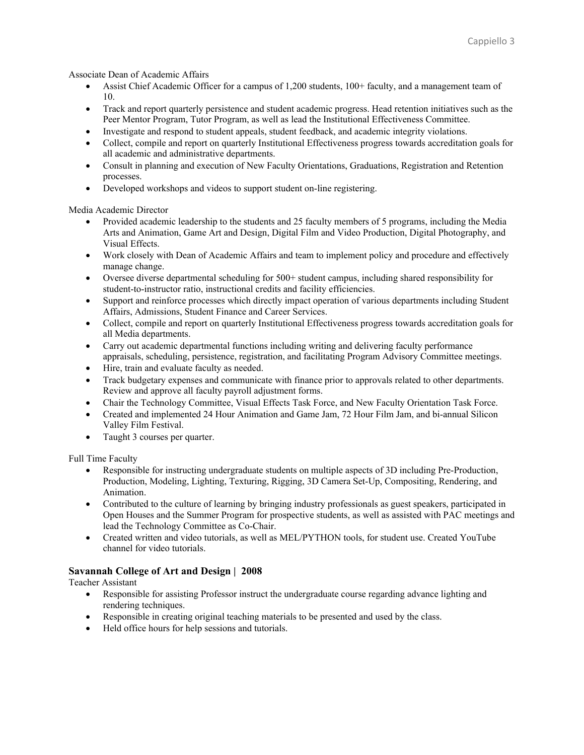Associate Dean of Academic Affairs

- Assist Chief Academic Officer for a campus of 1,200 students, 100+ faculty, and a management team of 10.
- Track and report quarterly persistence and student academic progress. Head retention initiatives such as the Peer Mentor Program, Tutor Program, as well as lead the Institutional Effectiveness Committee.
- Investigate and respond to student appeals, student feedback, and academic integrity violations.
- Collect, compile and report on quarterly Institutional Effectiveness progress towards accreditation goals for all academic and administrative departments.
- Consult in planning and execution of New Faculty Orientations, Graduations, Registration and Retention processes.
- Developed workshops and videos to support student on-line registering.

Media Academic Director

- Provided academic leadership to the students and 25 faculty members of 5 programs, including the Media Arts and Animation, Game Art and Design, Digital Film and Video Production, Digital Photography, and Visual Effects.
- Work closely with Dean of Academic Affairs and team to implement policy and procedure and effectively manage change.
- Oversee diverse departmental scheduling for 500+ student campus, including shared responsibility for student-to-instructor ratio, instructional credits and facility efficiencies.
- Support and reinforce processes which directly impact operation of various departments including Student Affairs, Admissions, Student Finance and Career Services.
- Collect, compile and report on quarterly Institutional Effectiveness progress towards accreditation goals for all Media departments.
- Carry out academic departmental functions including writing and delivering faculty performance appraisals, scheduling, persistence, registration, and facilitating Program Advisory Committee meetings.
- Hire, train and evaluate faculty as needed.
- Track budgetary expenses and communicate with finance prior to approvals related to other departments. Review and approve all faculty payroll adjustment forms.
- Chair the Technology Committee, Visual Effects Task Force, and New Faculty Orientation Task Force.
- Created and implemented 24 Hour Animation and Game Jam, 72 Hour Film Jam, and bi-annual Silicon Valley Film Festival.
- Taught 3 courses per quarter.

Full Time Faculty

- Responsible for instructing undergraduate students on multiple aspects of 3D including Pre-Production, Production, Modeling, Lighting, Texturing, Rigging, 3D Camera Set-Up, Compositing, Rendering, and Animation.
- Contributed to the culture of learning by bringing industry professionals as guest speakers, participated in Open Houses and the Summer Program for prospective students, as well as assisted with PAC meetings and lead the Technology Committee as Co-Chair.
- Created written and video tutorials, as well as MEL/PYTHON tools, for student use. Created YouTube channel for video tutorials.

## **Savannah College of Art and Design | 2008**

Teacher Assistant

- Responsible for assisting Professor instruct the undergraduate course regarding advance lighting and rendering techniques.
- Responsible in creating original teaching materials to be presented and used by the class.
- Held office hours for help sessions and tutorials.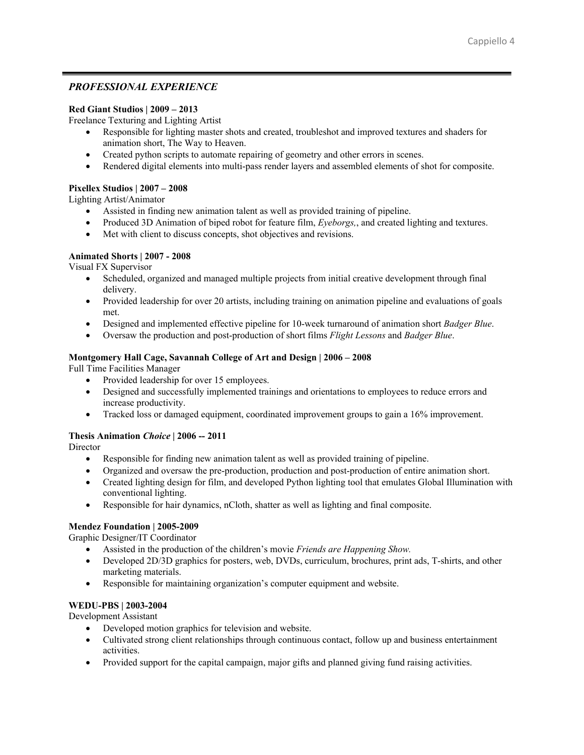## *PROFESSIONAL EXPERIENCE*

#### **Red Giant Studios | 2009 – 2013**

Freelance Texturing and Lighting Artist

- Responsible for lighting master shots and created, troubleshot and improved textures and shaders for animation short, The Way to Heaven.
- Created python scripts to automate repairing of geometry and other errors in scenes.
- Rendered digital elements into multi-pass render layers and assembled elements of shot for composite.

### **Pixellex Studios | 2007 – 2008**

Lighting Artist/Animator

- Assisted in finding new animation talent as well as provided training of pipeline.
- Produced 3D Animation of biped robot for feature film, *Eyeborgs,*, and created lighting and textures.
- Met with client to discuss concepts, shot objectives and revisions.

### **Animated Shorts | 2007 - 2008**

Visual FX Supervisor

- Scheduled, organized and managed multiple projects from initial creative development through final delivery.
- Provided leadership for over 20 artists, including training on animation pipeline and evaluations of goals met.
- Designed and implemented effective pipeline for 10-week turnaround of animation short *Badger Blue*.
- Oversaw the production and post-production of short films *Flight Lessons* and *Badger Blue*.

### **Montgomery Hall Cage, Savannah College of Art and Design | 2006 – 2008**

Full Time Facilities Manager

- Provided leadership for over 15 employees.
- Designed and successfully implemented trainings and orientations to employees to reduce errors and increase productivity.
- Tracked loss or damaged equipment, coordinated improvement groups to gain a 16% improvement.

#### **Thesis Animation** *Choice* **| 2006 -- 2011**

**Director** 

- Responsible for finding new animation talent as well as provided training of pipeline.
- Organized and oversaw the pre-production, production and post-production of entire animation short.
- Created lighting design for film, and developed Python lighting tool that emulates Global Illumination with conventional lighting.
- Responsible for hair dynamics, nCloth, shatter as well as lighting and final composite.

## **Mendez Foundation | 2005-2009**

Graphic Designer/IT Coordinator

- Assisted in the production of the children's movie *Friends are Happening Show.*
- Developed 2D/3D graphics for posters, web, DVDs, curriculum, brochures, print ads, T-shirts, and other marketing materials.
- Responsible for maintaining organization's computer equipment and website.

## **WEDU-PBS | 2003-2004**

Development Assistant

- Developed motion graphics for television and website.
- Cultivated strong client relationships through continuous contact, follow up and business entertainment activities.
- Provided support for the capital campaign, major gifts and planned giving fund raising activities.